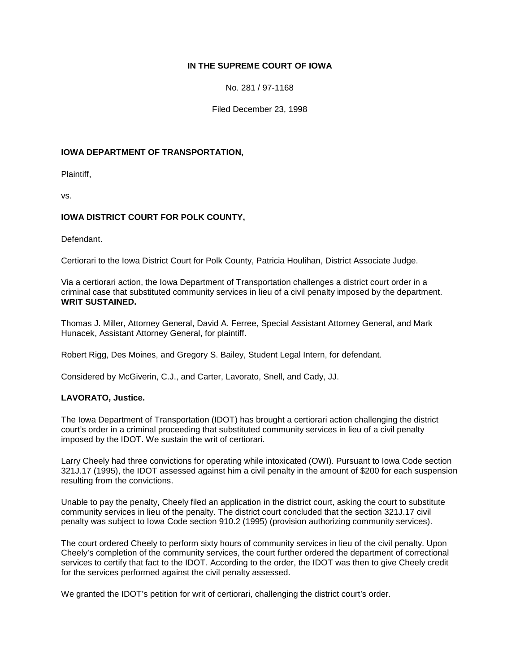# **IN THE SUPREME COURT OF IOWA**

No. 281 / 97-1168

Filed December 23, 1998

### **IOWA DEPARTMENT OF TRANSPORTATION,**

Plaintiff,

vs.

# **IOWA DISTRICT COURT FOR POLK COUNTY,**

Defendant.

Certiorari to the Iowa District Court for Polk County, Patricia Houlihan, District Associate Judge.

Via a certiorari action, the Iowa Department of Transportation challenges a district court order in a criminal case that substituted community services in lieu of a civil penalty imposed by the department. **WRIT SUSTAINED.**

Thomas J. Miller, Attorney General, David A. Ferree, Special Assistant Attorney General, and Mark Hunacek, Assistant Attorney General, for plaintiff.

Robert Rigg, Des Moines, and Gregory S. Bailey, Student Legal Intern, for defendant.

Considered by McGiverin, C.J., and Carter, Lavorato, Snell, and Cady, JJ.

### **LAVORATO, Justice.**

The Iowa Department of Transportation (IDOT) has brought a certiorari action challenging the district court's order in a criminal proceeding that substituted community services in lieu of a civil penalty imposed by the IDOT. We sustain the writ of certiorari.

Larry Cheely had three convictions for operating while intoxicated (OWI). Pursuant to Iowa Code section 321J.17 (1995), the IDOT assessed against him a civil penalty in the amount of \$200 for each suspension resulting from the convictions.

Unable to pay the penalty, Cheely filed an application in the district court, asking the court to substitute community services in lieu of the penalty. The district court concluded that the section 321J.17 civil penalty was subject to Iowa Code section 910.2 (1995) (provision authorizing community services).

The court ordered Cheely to perform sixty hours of community services in lieu of the civil penalty. Upon Cheely's completion of the community services, the court further ordered the department of correctional services to certify that fact to the IDOT. According to the order, the IDOT was then to give Cheely credit for the services performed against the civil penalty assessed.

We granted the IDOT's petition for writ of certiorari, challenging the district court's order.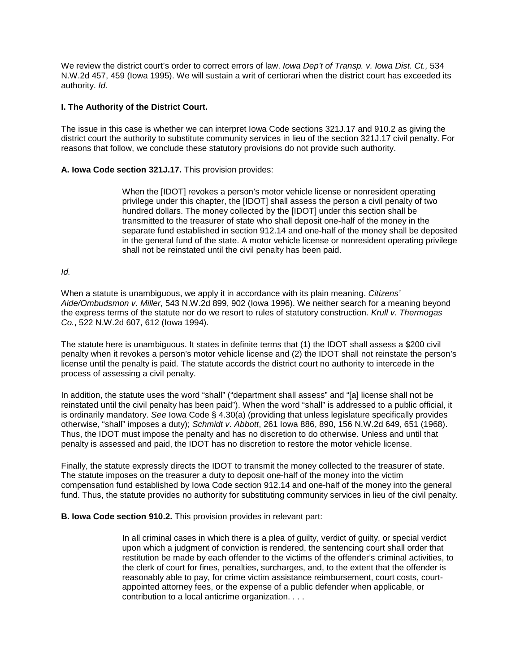We review the district court's order to correct errors of law. *Iowa Dep't of Transp. v. Iowa Dist. Ct.,* 534 N.W.2d 457, 459 (Iowa 1995). We will sustain a writ of certiorari when the district court has exceeded its authority. *Id.*

### **I. The Authority of the District Court.**

The issue in this case is whether we can interpret Iowa Code sections 321J.17 and 910.2 as giving the district court the authority to substitute community services in lieu of the section 321J.17 civil penalty. For reasons that follow, we conclude these statutory provisions do not provide such authority.

### **A. Iowa Code section 321J.17.** This provision provides:

When the [IDOT] revokes a person's motor vehicle license or nonresident operating privilege under this chapter, the [IDOT] shall assess the person a civil penalty of two hundred dollars. The money collected by the [IDOT] under this section shall be transmitted to the treasurer of state who shall deposit one-half of the money in the separate fund established in section 912.14 and one-half of the money shall be deposited in the general fund of the state. A motor vehicle license or nonresident operating privilege shall not be reinstated until the civil penalty has been paid.

## *Id.*

When a statute is unambiguous, we apply it in accordance with its plain meaning. *Citizens' Aide/Ombudsmon v. Miller*, 543 N.W.2d 899, 902 (Iowa 1996). We neither search for a meaning beyond the express terms of the statute nor do we resort to rules of statutory construction. *Krull v. Thermogas Co.*, 522 N.W.2d 607, 612 (Iowa 1994).

The statute here is unambiguous. It states in definite terms that (1) the IDOT shall assess a \$200 civil penalty when it revokes a person's motor vehicle license and (2) the IDOT shall not reinstate the person's license until the penalty is paid. The statute accords the district court no authority to intercede in the process of assessing a civil penalty.

In addition, the statute uses the word "shall" ("department shall assess" and "[a] license shall not be reinstated until the civil penalty has been paid"). When the word "shall" is addressed to a public official, it is ordinarily mandatory. *See* Iowa Code § 4.30(a) (providing that unless legislature specifically provides otherwise, "shall" imposes a duty); *Schmidt v. Abbott*, 261 Iowa 886, 890, 156 N.W.2d 649, 651 (1968). Thus, the IDOT must impose the penalty and has no discretion to do otherwise. Unless and until that penalty is assessed and paid, the IDOT has no discretion to restore the motor vehicle license.

Finally, the statute expressly directs the IDOT to transmit the money collected to the treasurer of state. The statute imposes on the treasurer a duty to deposit one-half of the money into the victim compensation fund established by Iowa Code section 912.14 and one-half of the money into the general fund. Thus, the statute provides no authority for substituting community services in lieu of the civil penalty.

### **B. Iowa Code section 910.2.** This provision provides in relevant part:

In all criminal cases in which there is a plea of guilty, verdict of guilty, or special verdict upon which a judgment of conviction is rendered, the sentencing court shall order that restitution be made by each offender to the victims of the offender's criminal activities, to the clerk of court for fines, penalties, surcharges, and, to the extent that the offender is reasonably able to pay, for crime victim assistance reimbursement, court costs, courtappointed attorney fees, or the expense of a public defender when applicable, or contribution to a local anticrime organization. . . .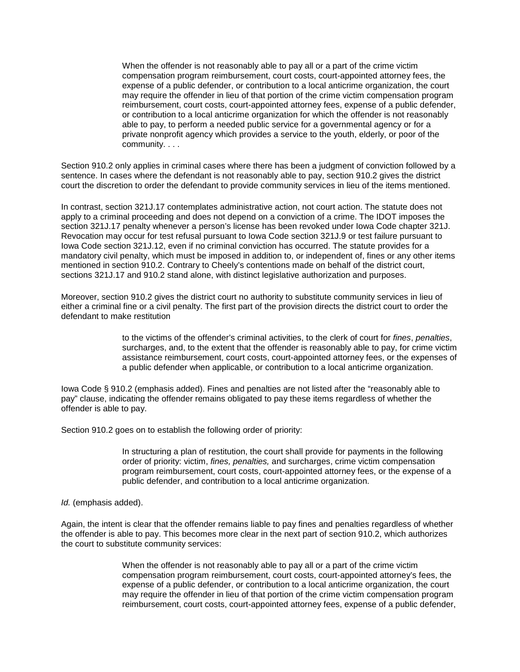When the offender is not reasonably able to pay all or a part of the crime victim compensation program reimbursement, court costs, court-appointed attorney fees, the expense of a public defender, or contribution to a local anticrime organization, the court may require the offender in lieu of that portion of the crime victim compensation program reimbursement, court costs, court-appointed attorney fees, expense of a public defender, or contribution to a local anticrime organization for which the offender is not reasonably able to pay, to perform a needed public service for a governmental agency or for a private nonprofit agency which provides a service to the youth, elderly, or poor of the community. . . .

Section 910.2 only applies in criminal cases where there has been a judgment of conviction followed by a sentence. In cases where the defendant is not reasonably able to pay, section 910.2 gives the district court the discretion to order the defendant to provide community services in lieu of the items mentioned.

In contrast, section 321J.17 contemplates administrative action, not court action. The statute does not apply to a criminal proceeding and does not depend on a conviction of a crime. The IDOT imposes the section 321J.17 penalty whenever a person's license has been revoked under Iowa Code chapter 321J. Revocation may occur for test refusal pursuant to Iowa Code section 321J.9 or test failure pursuant to Iowa Code section 321J.12, even if no criminal conviction has occurred. The statute provides for a mandatory civil penalty, which must be imposed in addition to, or independent of, fines or any other items mentioned in section 910.2. Contrary to Cheely's contentions made on behalf of the district court, sections 321J.17 and 910.2 stand alone, with distinct legislative authorization and purposes.

Moreover, section 910.2 gives the district court no authority to substitute community services in lieu of either a criminal fine or a civil penalty. The first part of the provision directs the district court to order the defendant to make restitution

> to the victims of the offender's criminal activities, to the clerk of court for *fines*, *penalties*, surcharges, and, to the extent that the offender is reasonably able to pay, for crime victim assistance reimbursement, court costs, court-appointed attorney fees, or the expenses of a public defender when applicable, or contribution to a local anticrime organization.

Iowa Code § 910.2 (emphasis added). Fines and penalties are not listed after the "reasonably able to pay" clause, indicating the offender remains obligated to pay these items regardless of whether the offender is able to pay.

Section 910.2 goes on to establish the following order of priority:

In structuring a plan of restitution, the court shall provide for payments in the following order of priority: victim, *fines, penalties,* and surcharges, crime victim compensation program reimbursement, court costs, court-appointed attorney fees, or the expense of a public defender, and contribution to a local anticrime organization.

### *Id.* (emphasis added).

Again, the intent is clear that the offender remains liable to pay fines and penalties regardless of whether the offender is able to pay. This becomes more clear in the next part of section 910.2, which authorizes the court to substitute community services:

> When the offender is not reasonably able to pay all or a part of the crime victim compensation program reimbursement, court costs, court-appointed attorney's fees, the expense of a public defender, or contribution to a local anticrime organization, the court may require the offender in lieu of that portion of the crime victim compensation program reimbursement, court costs, court-appointed attorney fees, expense of a public defender,